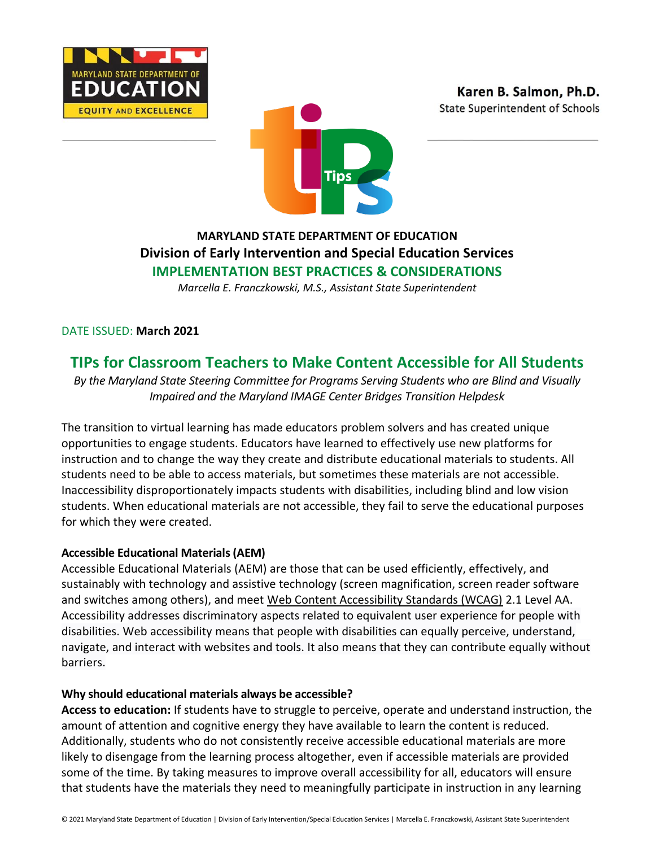





## **MARYLAND STATE DEPARTMENT OF EDUCATION Division of Early Intervention and Special Education Services IMPLEMENTATION BEST PRACTICES & CONSIDERATIONS**

*Marcella E. Franczkowski, M.S., Assistant State Superintendent*

DATE ISSUED: **March 2021**

# **TIPs for Classroom Teachers to Make Content Accessible for All Students**

*By the Maryland State Steering Committee for Programs Serving Students who are Blind and Visually Impaired and the Maryland IMAGE Center Bridges Transition Helpdesk*

The transition to virtual learning has made educators problem solvers and has created unique opportunities to engage students. Educators have learned to effectively use new platforms for instruction and to change the way they create and distribute educational materials to students. All students need to be able to access materials, but sometimes these materials are not accessible. Inaccessibility disproportionately impacts students with disabilities, including blind and low vision students. When educational materials are not accessible, they fail to serve the educational purposes for which they were created.

#### **Accessible Educational Materials (AEM)**

Accessible Educational Materials (AEM) are those that can be used efficiently, effectively, and sustainably with technology and assistive technology (screen magnification, screen reader software and switches among others), and meet [Web Content Accessibility Standards \(WCAG\)](https://www.w3.org/WAI/WCAG2AA-Conformance) 2.1 Level AA. Accessibility addresses discriminatory aspects related to equivalent user experience for people with disabilities. Web accessibility means that people with disabilities can equally perceive, understand, navigate, and interact with websites and tools. It also means that they can contribute equally without barriers.

#### **Why should educational materials always be accessible?**

**Access to education:** If students have to struggle to perceive, operate and understand instruction, the amount of attention and cognitive energy they have available to learn the content is reduced. Additionally, students who do not consistently receive accessible educational materials are more likely to disengage from the learning process altogether, even if accessible materials are provided some of the time. By taking measures to improve overall accessibility for all, educators will ensure that students have the materials they need to meaningfully participate in instruction in any learning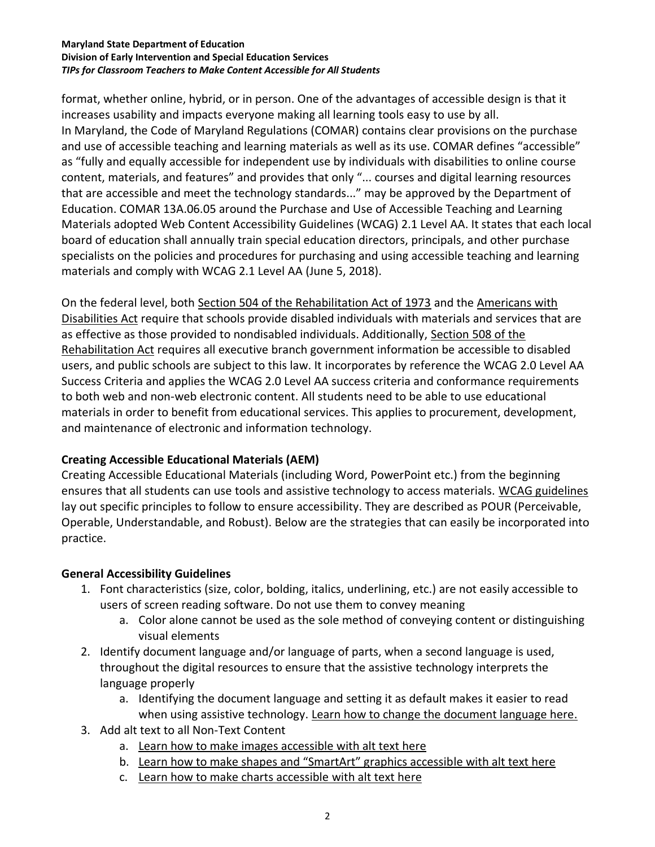#### **Maryland State Department of Education Division of Early Intervention and Special Education Services** *TIPs for Classroom Teachers to Make Content Accessible for All Students*

format, whether online, hybrid, or in person. One of the advantages of accessible design is that it increases usability and impacts everyone making all learning tools easy to use by all. In Maryland, the Code of Maryland Regulations (COMAR) contains clear provisions on the purchase and use of accessible teaching and learning materials as well as its use. COMAR defines "accessible" as "fully and equally accessible for independent use by individuals with disabilities to online course content, materials, and features" and provides that only "... courses and digital learning resources that are accessible and meet the technology standards..." may be approved by the Department of Education. COMAR 13A.06.05 around the Purchase and Use of Accessible Teaching and Learning Materials adopted Web Content Accessibility Guidelines (WCAG) 2.1 Level AA. It states that each local board of education shall annually train special education directors, principals, and other purchase specialists on the policies and procedures for purchasing and using accessible teaching and learning materials and comply with WCAG 2.1 Level AA (June 5, 2018).

On the federal level, both [Section 504 of the Rehabilitation Act of 1973](https://www.dol.gov/agencies/oasam/centers-offices/civil-rights-center/statutes/section-504-rehabilitation-act-of-1973) and the [Americans with](https://www.ada.gov/regs2010/titleII_2010/titleII_2010_regulations.htm)  [Disabilities Act](https://www.ada.gov/regs2010/titleII_2010/titleII_2010_regulations.htm) require that schools provide disabled individuals with materials and services that are as effective as those provided to nondisabled individuals. Additionally, Section 508 of the [Rehabilitation](https://www.access-board.gov/ict/) Act requires all executive branch government information be accessible to disabled users, and public schools are subject to this law. It incorporates by reference the WCAG 2.0 Level AA Success Criteria and applies the WCAG 2.0 Level AA success criteria and conformance requirements to both web and non-web electronic content. All students need to be able to use educational materials in order to benefit from educational services. This applies to procurement, development, and maintenance of electronic and information technology.

#### **Creating Accessible Educational Materials (AEM)**

Creating Accessible Educational Materials (including Word, PowerPoint etc.) from the beginning ensures that all students can use tools and assistive technology to access materials. [WCAG guidelines](https://www.w3.org/WAI/fundamentals/accessibility-principles/) lay out specific principles to follow to ensure accessibility. They are described as POUR (Perceivable, Operable, Understandable, and Robust). Below are the strategies that can easily be incorporated into practice.

### **General Accessibility Guidelines**

- 1. Font characteristics (size, color, bolding, italics, underlining, etc.) are not easily accessible to users of screen reading software. Do not use them to convey meaning
	- a. Color alone cannot be used as the sole method of conveying content or distinguishing visual elements
- 2. Identify document language and/or language of parts, when a second language is used, throughout the digital resources to ensure that the assistive technology interprets the language properly
	- a. Identifying the document language and setting it as default makes it easier to read when using assistive technology. [Learn how to change the document language here.](https://support.microsoft.com/en-us/topic/check-or-change-language-settings-d594c982-8151-24b9-e25d-54c986b22f6d)
- 3. Add alt text to all Non-Text Content
	- a. [Learn how to make images accessible with alt text here](https://support.microsoft.com/en-us/topic/make-your-powerpoint-presentations-accessible-to-people-with-disabilities-6f7772b2-2f33-4bd2-8ca7-dae3b2b3ef25#bkmk_winaltimages_365)
	- b. [Learn how to make shapes and "SmartArt" graphics accessib](https://support.microsoft.com/en-us/topic/make-your-powerpoint-presentations-accessible-to-people-with-disabilities-6f7772b2-2f33-4bd2-8ca7-dae3b2b3ef25#bkmk_winaltsmartart_365)le with alt text here
	- c. [Learn how to make charts accessible](https://support.microsoft.com/en-us/topic/make-your-powerpoint-presentations-accessible-to-people-with-disabilities-6f7772b2-2f33-4bd2-8ca7-dae3b2b3ef25#bkmk_winaltcharts_365) with alt text here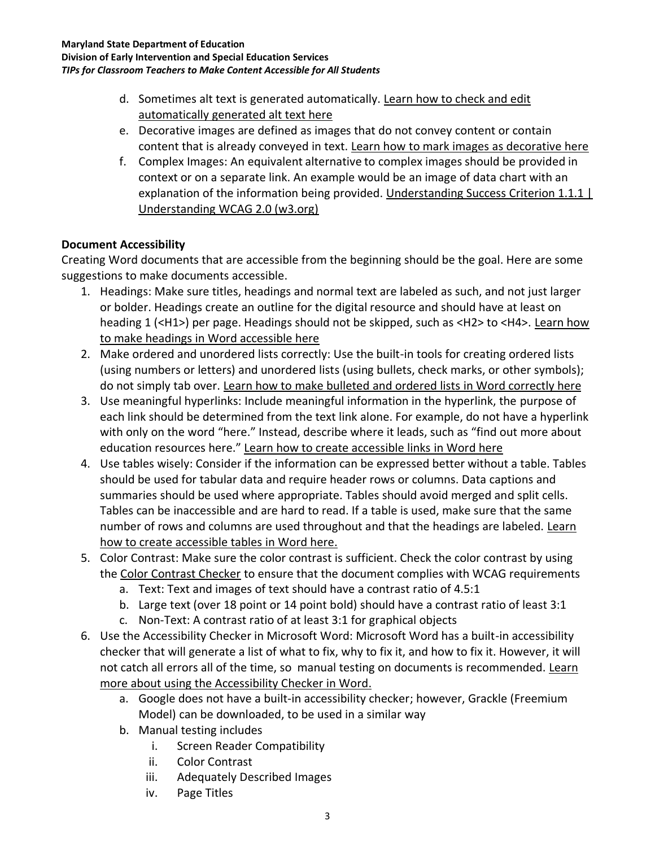- d. Sometimes alt text is generated automatically. [Learn how to check and edit](https://support.microsoft.com/en-us/topic/make-your-powerpoint-presentations-accessible-to-people-with-disabilities-6f7772b2-2f33-4bd2-8ca7-dae3b2b3ef25#bkmk_winimages_365)  [automatically generated alt text here](https://support.microsoft.com/en-us/topic/make-your-powerpoint-presentations-accessible-to-people-with-disabilities-6f7772b2-2f33-4bd2-8ca7-dae3b2b3ef25#bkmk_winimages_365)
- e. Decorative images are defined as images that do not convey content or contain content that is already conveyed in text. [Learn how to mark images as decorative here](https://support.microsoft.com/en-us/topic/make-your-powerpoint-presentations-accessible-to-people-with-disabilities-6f7772b2-2f33-4bd2-8ca7-dae3b2b3ef25#bkmk_windecorative_365)
- f. Complex Images: An equivalent alternative to complex images should be provided in context or on a separate link. An example would be an image of data chart with an explanation of the information being provided. Understanding Success Criterion 1.1.1 | [Understanding WCAG 2.0 \(w3.org\)](https://www.w3.org/TR/UNDERSTANDING-WCAG20/text-equiv-all.html)

## **Document Accessibility**

Creating Word documents that are accessible from the beginning should be the goal. Here are some suggestions to make documents accessible.

- 1. Headings: Make sure titles, headings and normal text are labeled as such, and not just larger or bolder. Headings create an outline for the digital resource and should have at least on heading 1 (<H1>) per page. Headings should not be skipped, such as <H2> to <H4>. Learn how [to make headings in Word accessible here](https://support.microsoft.com/en-us/office/video-improve-accessibility-with-heading-styles-68f1eeff-6113-410f-8313-b5d382cc3be1?ui=en-us&rs=en-us&ad=us)
- 2. Make ordered and unordered lists correctly: Use the built-in tools for creating ordered lists (using numbers or letters) and unordered lists (using bullets, check marks, or other symbols); do not simply tab over. [Learn how to make bulleted and ordered lists](https://support.microsoft.com/en-us/office/make-your-word-documents-accessible-to-people-with-disabilities-d9bf3683-87ac-47ea-b91a-78dcacb3c66d#bkmk_winbulletlists) [in Word](https://support.microsoft.com/en-us/office/video-improve-accessibility-with-heading-styles-68f1eeff-6113-410f-8313-b5d382cc3be1?ui=en-us&rs=en-us&ad=us) [correctly here](https://support.microsoft.com/en-us/office/make-your-word-documents-accessible-to-people-with-disabilities-d9bf3683-87ac-47ea-b91a-78dcacb3c66d#bkmk_winbulletlists)
- 3. Use meaningful hyperlinks: Include meaningful information in the hyperlink, the purpose of each link should be determined from the text link alone. For example, do not have a hyperlink with only on the word "here." Instead, describe where it leads, such as "find out more about education resources here." [Learn how to create accessible links](https://support.microsoft.com/en-us/office/video-create-accessible-links-in-word-28305cc8-3be2-417c-a313-dc22082d1ee0?ui=en-us&rs=en-us&ad=us) [in Word](https://support.microsoft.com/en-us/office/video-improve-accessibility-with-heading-styles-68f1eeff-6113-410f-8313-b5d382cc3be1?ui=en-us&rs=en-us&ad=us) [here](https://support.microsoft.com/en-us/office/video-create-accessible-links-in-word-28305cc8-3be2-417c-a313-dc22082d1ee0?ui=en-us&rs=en-us&ad=us)
- 4. Use tables wisely: Consider if the information can be expressed better without a table. Tables should be used for tabular data and require header rows or columns. Data captions and summaries should be used where appropriate. Tables should avoid merged and split cells. Tables can be inaccessible and are hard to read. If a table is used, make sure that the same number of rows and columns are used throughout and that the headings are labeled. Learn [how to create accessible tables](https://support.microsoft.com/en-us/office/video-create-accessible-tables-in-word-cb464015-59dc-46a0-ac01-6217c62210e5) [in Word](https://support.microsoft.com/en-us/office/video-improve-accessibility-with-heading-styles-68f1eeff-6113-410f-8313-b5d382cc3be1?ui=en-us&rs=en-us&ad=us) [here.](https://support.microsoft.com/en-us/office/video-create-accessible-tables-in-word-cb464015-59dc-46a0-ac01-6217c62210e5)
- 5. Color Contrast: Make sure the color contrast is sufficient. Check the color contrast by using the [Color Contrast Checker](https://webaim.org/resources/contrastchecker/) to ensure that the document complies with WCAG requirements
	- a. Text: Text and images of text should have a contrast ratio of 4.5:1
	- b. Large text (over 18 point or 14 point bold) should have a contrast ratio of least 3:1
	- c. Non-Text: A contrast ratio of at least 3:1 for graphical objects
- 6. Use the Accessibility Checker in Microsoft Word: Microsoft Word has a built-in accessibility checker that will generate a list of what to fix, why to fix it, and how to fix it. However, it will not catch all errors all of the time, so manual testing on documents is recommended. [Learn](https://support.microsoft.com/en-us/office/video-check-the-accessibility-of-your-document-9d660cba-1fcd-45ad-a9d1-c4f4b5eb5b7d)  [more about using the Accessibility Checker in Word.](https://support.microsoft.com/en-us/office/video-check-the-accessibility-of-your-document-9d660cba-1fcd-45ad-a9d1-c4f4b5eb5b7d)
	- a. Google does not have a built-in accessibility checker; however, Grackle (Freemium Model) can be downloaded, to be used in a similar way
	- b. Manual testing includes
		- i. Screen Reader Compatibility
		- ii. Color Contrast
		- iii. Adequately Described Images
		- iv. Page Titles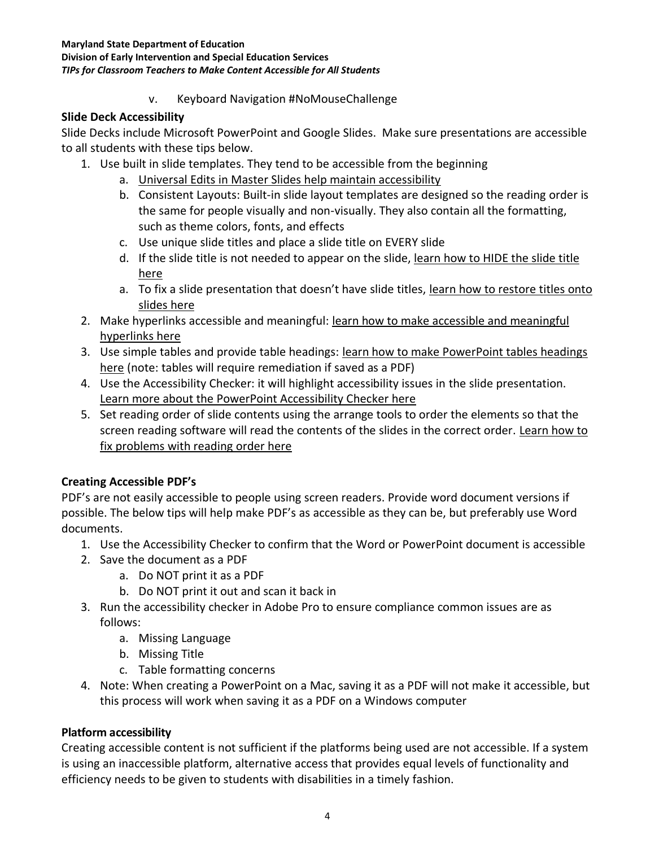#### **Maryland State Department of Education**

**Division of Early Intervention and Special Education Services** *TIPs for Classroom Teachers to Make Content Accessible for All Students*

v. Keyboard Navigation #NoMouseChallenge

#### **Slide Deck Accessibility**

Slide Decks include Microsoft PowerPoint and Google Slides. Make sure presentations are accessible to all students with these tips below.

- 1. Use built in slide templates. They tend to be accessible from the beginning
	- a. [Universal Edits in Master Slides help maintain accessibility](https://www.washington.edu/accessibility/documents/creating-accessible-presentations-in-microsoft-powerpoint/)
	- b. Consistent Layouts: Built-in slide layout templates are designed so the reading order is the same for people visually and non-visually. They also contain all the formatting, such as theme colors, fonts, and effects
	- c. Use unique slide titles and place a slide title on EVERY slide
	- d. If the slide title is not needed to appear on the slide, learn how to HIDE the slide title [here](https://support.microsoft.com/en-us/topic/make-your-powerpoint-presentations-accessible-to-people-with-disabilities-6f7772b2-2f33-4bd2-8ca7-dae3b2b3ef25#bkmk_winhidetitle)
	- a. To fix a slide presentation that doesn't have slide titles, [learn how to restore titles onto](https://support.microsoft.com/en-us/topic/make-your-powerpoint-presentations-accessible-to-people-with-disabilities-6f7772b2-2f33-4bd2-8ca7-dae3b2b3ef25#bkmk_winuniquetitle)  [slides here](https://support.microsoft.com/en-us/topic/make-your-powerpoint-presentations-accessible-to-people-with-disabilities-6f7772b2-2f33-4bd2-8ca7-dae3b2b3ef25#bkmk_winuniquetitle)
- 2. Make hyperlinks accessible and meaningful: [learn how to make accessible and meaningful](https://support.microsoft.com/en-us/topic/make-your-powerpoint-presentations-accessible-to-people-with-disabilities-6f7772b2-2f33-4bd2-8ca7-dae3b2b3ef25#bkmk_winhyperlink)  [hyperlinks here](https://support.microsoft.com/en-us/topic/make-your-powerpoint-presentations-accessible-to-people-with-disabilities-6f7772b2-2f33-4bd2-8ca7-dae3b2b3ef25#bkmk_winhyperlink)
- 3. Use simple tables and provide table headings: [learn how to make PowerPoint tables headings](https://support.microsoft.com/en-us/topic/make-your-powerpoint-presentations-accessible-to-people-with-disabilities-6f7772b2-2f33-4bd2-8ca7-dae3b2b3ef25#bkmk_wintableheaders)  [here](https://support.microsoft.com/en-us/topic/make-your-powerpoint-presentations-accessible-to-people-with-disabilities-6f7772b2-2f33-4bd2-8ca7-dae3b2b3ef25#bkmk_wintableheaders) (note: tables will require remediation if saved as a PDF)
- 4. Use the Accessibility Checker: it will highlight accessibility issues in the slide presentation. [Learn more about the PowerPoint Accessibility Checker here](https://support.microsoft.com/en-us/topic/improve-accessibility-with-the-accessibility-checker-a16f6de0-2f39-4a2b-8bd8-5ad801426c7f#PickTab=Windows)
- 5. Set reading order of slide contents using the arrange tools to order the elements so that the screen reading software will read the contents of the slides in the correct order. [Learn how to](https://support.microsoft.com/en-us/topic/make-your-powerpoint-presentations-accessible-to-people-with-disabilities-6f7772b2-2f33-4bd2-8ca7-dae3b2b3ef25#bkmk_winreadingorder)  [fix problems with reading order here](https://support.microsoft.com/en-us/topic/make-your-powerpoint-presentations-accessible-to-people-with-disabilities-6f7772b2-2f33-4bd2-8ca7-dae3b2b3ef25#bkmk_winreadingorder)

### **Creating Accessible PDF's**

PDF's are not easily accessible to people using screen readers. Provide word document versions if possible. The below tips will help make PDF's as accessible as they can be, but preferably use Word documents.

- 1. Use the Accessibility Checker to confirm that the Word or PowerPoint document is accessible
- 2. Save the document as a PDF
	- a. Do NOT print it as a PDF
	- b. Do NOT print it out and scan it back in
- 3. Run the accessibility checker in Adobe Pro to ensure compliance common issues are as follows:
	- a. Missing Language
	- b. Missing Title
	- c. Table formatting concerns
- 4. Note: When creating a PowerPoint on a Mac, saving it as a PDF will not make it accessible, but this process will work when saving it as a PDF on a Windows computer

### **Platform accessibility**

Creating accessible content is not sufficient if the platforms being used are not accessible. If a system is using an inaccessible platform, alternative access that provides equal levels of functionality and efficiency needs to be given to students with disabilities in a timely fashion.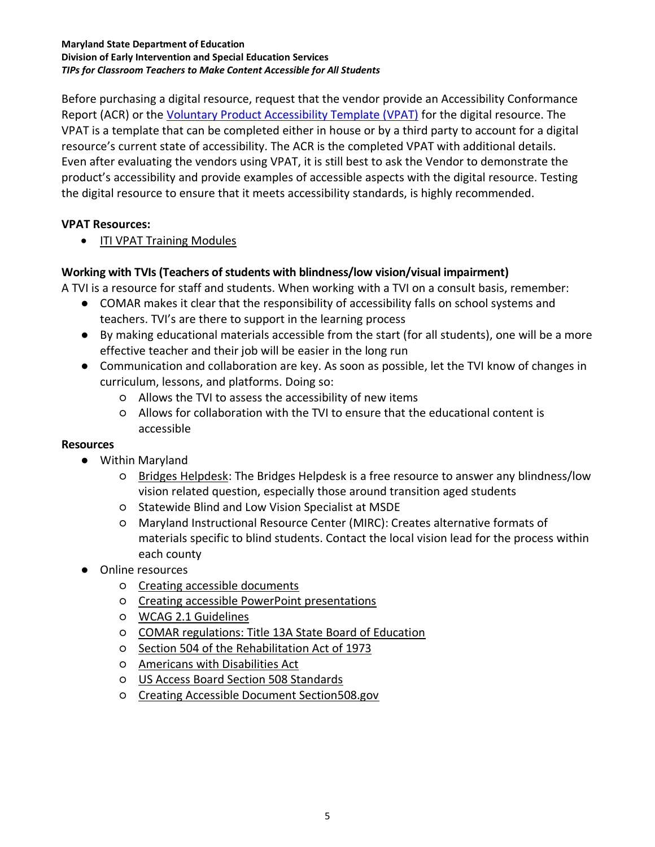#### **Maryland State Department of Education Division of Early Intervention and Special Education Services** *TIPs for Classroom Teachers to Make Content Accessible for All Students*

Before purchasing a digital resource, request that the vendor provide an Accessibility Conformance Report (ACR) or the [Voluntary Product Accessibility Template \(VPAT\)](https://www.itic.org/policy/accessibility/vpat) for the digital resource. The VPAT is a template that can be completed either in house or by a third party to account for a digital resource's current state of accessibility. The ACR is the completed VPAT with additional details. Even after evaluating the vendors using VPAT, it is still best to ask the Vendor to demonstrate the product's accessibility and provide examples of accessible aspects with the digital resource. Testing the digital resource to ensure that it meets accessibility standards, is highly recommended.

#### **VPAT Resources:**

• [ITI VPAT Training Modules](https://www.youtube.com/playlist?list=PLDqZ4Q20mwxNt6cL71isdMDOmPB7WeucA)

### **Working with TVIs (Teachers of students with blindness/low vision/visual impairment)**

A TVI is a resource for staff and students. When working with a TVI on a consult basis, remember:

- COMAR makes it clear that the responsibility of accessibility falls on school systems and teachers. TVI's are there to support in the learning process
- By making educational materials accessible from the start (for all students), one will be a more effective teacher and their job will be easier in the long run
- Communication and collaboration are key. As soon as possible, let the TVI know of changes in curriculum, lessons, and platforms. Doing so:
	- Allows the TVI to assess the accessibility of new items
	- Allows for collaboration with the TVI to ensure that the educational content is accessible

#### **Resources**

- Within Maryland
	- [Bridges Helpdesk:](https://imagemd.org/bridges-help-desk/) The Bridges Helpdesk is a free resource to answer any blindness/low vision related question, especially those around transition aged students
	- Statewide Blind and Low Vision Specialist at MSDE
	- Maryland Instructional Resource Center (MIRC): Creates alternative formats of materials specific to blind students. Contact the local vision lead for the process within each county
- Online resources
	- [Creating accessible documents](https://www.washington.edu/accessibility/documents/)
	- [Creating accessible PowerPoint presentations](https://www.washington.edu/accessibility/documents/creating-accessible-presentations-in-microsoft-powerpoint/)
	- [WCAG 2.1 Guidelines](https://www.w3.org/TR/WCAG21/)
	- [COMAR regulations: Title 13A State Board of Education](http://www.dsd.state.md.us/COMAR/subtitle_chapters/13A_Chapters.aspx)
	- [Section 504 of the Rehabilitation Act of 1973](https://www.dol.gov/agencies/oasam/centers-offices/civil-rights-center/statutes/section-504-rehabilitation-act-of-1973)
	- [Americans with Disabilities Act](https://www.ada.gov/regs2010/titleII_2010/titleII_2010_regulations.htm)
	- [US Access Board Section 508 Standards](https://www.access-board.gov/ict/)
	- [Creating Accessible Document Section508.gov](https://www.section508.gov/create/documents)